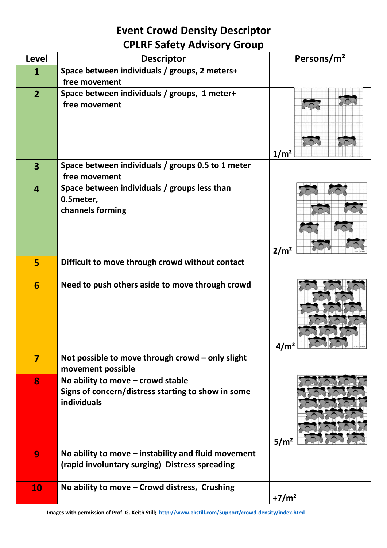| <b>Event Crowd Density Descriptor</b>                                                                   |                                                                                                                 |                        |
|---------------------------------------------------------------------------------------------------------|-----------------------------------------------------------------------------------------------------------------|------------------------|
| <b>CPLRF Safety Advisory Group</b>                                                                      |                                                                                                                 |                        |
| Level                                                                                                   | <b>Descriptor</b>                                                                                               | Persons/m <sup>2</sup> |
| 1                                                                                                       | Space between individuals / groups, 2 meters+<br>free movement                                                  |                        |
| $\overline{2}$                                                                                          | Space between individuals / groups, 1 meter+<br>free movement                                                   | 1/m <sup>2</sup>       |
| 3                                                                                                       | Space between individuals / groups 0.5 to 1 meter<br>free movement                                              |                        |
| $\boldsymbol{4}$                                                                                        | Space between individuals / groups less than<br>0.5meter,<br>channels forming                                   | 2/m <sup>2</sup>       |
| 5                                                                                                       | Difficult to move through crowd without contact                                                                 |                        |
| 6                                                                                                       | Need to push others aside to move through crowd                                                                 | 4/m <sup>2</sup>       |
| 7                                                                                                       | Not possible to move through crowd - only slight<br>movement possible                                           |                        |
| 8                                                                                                       | No ability to move $-$ crowd stable<br>Signs of concern/distress starting to show in some<br><b>individuals</b> | 5/m <sup>2</sup>       |
| 9                                                                                                       | No ability to move $-$ instability and fluid movement<br>(rapid involuntary surging) Distress spreading         |                        |
| 10                                                                                                      | No ability to move - Crowd distress, Crushing                                                                   | $+7/m2$                |
| Images with permission of Prof. G. Keith Still; http://www.gkstill.com/Support/crowd-density/index.html |                                                                                                                 |                        |